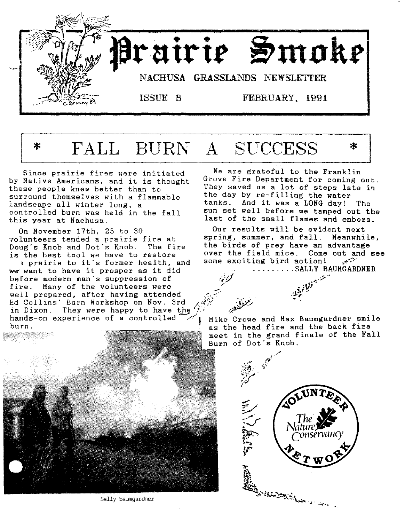



*..:,;r* '''7 /

Since prairie fires were initiated by Native Americans, and it is thought these people knew better than to surround themselves with a flammable landscape all winter long, a controlled burn was held in the fall this year at Nachusa.

On November 17th, 25 to 30 volunteers tended a prairie fire at Doug's Knob and Dot's Knob. The fire is the best tool we have to restore

~ prairie to it's former health, and we want to have it prosper as it did before modern man's suppression of fire. Many of the volunteers were well prepared, after having attended Ed Collins' Burn Workshop on Nov. 3rd /(iii) in Dixon. They were happy to have the  $f\wedge \cdots \wedge f$ hands-on experience of a controlled  $\mathcal{A}$  Mike Crowe and Max Baumgardner smile



Sally Baumgardner

We are grateful to the Franklin Grove Fire Department for coming out. They saved us a lot of steps late in the day by re-filling the water tanks. And it was a LONG day! The sun set well before we tamped out the last of the small flames and embers.

Our results will be evident next spring, summer, and fall. Meanwhile, the birds of prey have an advantage over the field mice. Come out and see<br>some exciting bird action! some exciting bird action! ......... SALLY BAUMGARDNER

burn. As the head fire and the back fire meet in the grand finale of the Fall Burn of Dot's Knob.

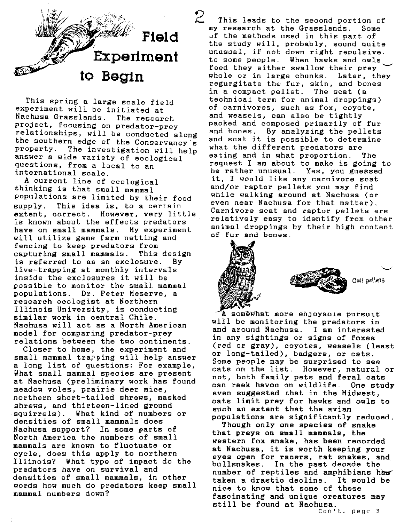

This spring a large scale field experiment will be initiated at Nachusa Grasslands. The research project, focusing on predator-prey relationships, will be conducted along the southern edge of the Conservancy's property. The investigation will help answer a wide variety of ecological questions, from a local to an international scale.

A current line of ecological thinking is that small mammal populations are limited by their food supply. This idea is, to a certain extent, correct. However, very little. is known about the effects predators have on small mammals. My experiment will utilize game farm netting and fencing to keep predators from<br>capturing small mammals. This design capturing small mammals. is referred to as an exclosure. By live-trapping at monthly intervals inside the exclosures it will be possible to monitor the small mammal populations. Dr. Peter Meserve, a research ecologist at Northern Illinois University, is conducting similar work in central Chile. Nachusa will act as a North American model for comparing predator-prey relations between the two continents.

Closer to home, the experiment and small mammal trapping will help answer a long list of questions: For example, What small mammal species are present at Nachusa (preliminary work has found meadow voles, prairie deer mice, northern short-tailed shrews, masked shrews, and thirteen-lined ground squirrels). What kind of numbers or densities of small mammals does Nachusa support? In some parts of North America the numbers of small mammals are known to fluctuate or cycle, does this apply to northern Illinois? What type of impact do the predators have on survival and densities of small mammals, in other words how much do predators keep small mammal numbers down?

<sup>2</sup><br>2 This leads to the second portion of<br>ay research at the Grasslands. Some ny research at the Grasslands. of the methods used in this part of the study will, probably, sound quite unusual, if not down right repulsive. to some people. When hawks and owls~ feed they either swallow their prey whole or in large chunks. Later, they regurgitate the fur, skin, and bones in a compact pellet. The scat (a technical term for animal droppings) of carnivores, such as fox, coyote, and weasels, can also be tightly packed and composed primarily of fur and bones. By analyzing the pellets and scat it is possible to determine what the different predators are eating and in what proportion. The request I am about to make is going to be rather unusual. Yes, you guessed it, I would like any carnivore scat and/or raptor pellets you may find while walking around at Nachusa (or even near Nachusa for that matter). Carnivore scat and raptor pellets are relatively easy to identify from other animal droppings by their high content of fur and bones.



A somewhat more enjoyaoie pursuit will be monitoring the predators in and around Nachusa. I am interested in any sightings or signs of foxes (red or gray), coyotes, weasels (least or long-tailed), badgers, or cats. Some people may be surprised to see cats on the list. However, natural or not, both family pets and feral cats can reek havoc on wildlife. One study even suggested chat in the Midwest, cats limit prey for hawks and owls to such an extent that the avian populations are significantly reduced.

Though only one species of snake that preys on small mammals, the western fox snake, has been recorded at Nachusa, it is worth keeping your eyes open for racers, rat snakes, and bullsnakes. In the past decade the number of reptiles and amphibians has taken a drastic decline. It would be nice to know that some of these fascinating and unique creatures may still be found at Nachusa.

Can't. page 3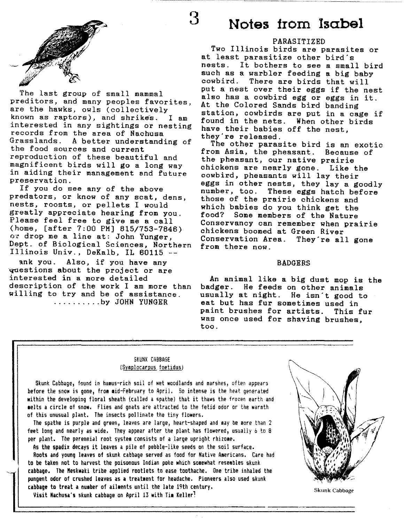



The last group of small mammal preditors, and many peoples favorites, are the hawks, owls (collectively known as raptors), and shrikes. I am interested in any sightings or nesting records from the area of Nachusa Grasslands. A better understanding of the food sources and current reproduction of these beautiful and magnificent birds will go a long way in aiding their management and future preservation.

If you do see any of the above predators, or know of any scat, dens, nests, roosts, or pellets I would greatly appreciate hearing from you. Please feel free to give me a call (home, [after 7:00 PM] 815/753-7846) or drop me a line at: John Yunger, Dept. of Biological Sciences, Northern Illinois Univ., DeKalb, IL 60115 --

ank you. Also, if you have any ~estions about the project or are interested in a more detailed description of the work I am more than willing to try and be of assistance. .......... by JOHN YUNGER

## **3 Notes from Isabel**

### PARASITIZED

Two Illinois birds are parasites or at least parasitize other bird's nests. It bothers to see a small bird such as a warbler feeding a big baby<br>cowbird. There are birds that will There are birds that will put a nest over their eggs if the nest also has a cowbird egg or eggs in it. At the Colored Sands bird banding station, cowbirds are put in a cage if found in the nets. When other birds have their babies off the nest, they're released.

The other parasite bird is an exotic from Asia, the pheasant. Because of the pheasant, our native prairie chickens are nearly gone. Like the cowbird, pheasants will lay their eggs in other nests, they lay a goodly<br>number, too. These eggs hatch before These eggs hatch before those of the prairie chickens and which babies do you think get the<br>food? Some members of the Nature Some members of the Nature Conservancy can remember when prairie chickens boomed at Green River Conservation Area. They're all gone from there now.

#### BADGERS

An animal like a big dust mop is the<br>badger. He feeds on other animals He feeds on other animals usually at night. He isn't good to eat but has fur sometimes used in paint brushes for artists. This fur was once used for shaving brushes, too.

#### SKUNK CABBAGE (Symplocarpus foetidus)

Skunk Cabbage, found in humus-rich soil of wet woodlands and marshes, often appears before the snow is gone, from maid-February to April. So intense is the heat generated within the developing floral sheath (called a spathe) that it thaws the frozen earth and lelts a circle of snow. Flies and gnats are attracted to the fetid odor or the warmth of this unusual plant. The insects pollinate the tiny flowers.

The spathe is purple and green, leaves are large, heart-shaped and may be more than 2 feet long and nearly as wide. They appear after the plant has flowered, usually 6 to 8 per plant. The perennial root system consists of a large upright rhizome.

As the spadix decays it leaves a pile of pebble-like seeds on the soil surface. Roots and young leaves of skunk cabbage served as food for Native Americans. Care had to be taken not to harvest the poisonous Indian poke which somewhat resembles skunk cabbage. The Meskwaki tribe applied rootlets to ease toothache. One tribe inhaled the pungent odor of crushed leaves as a treatment for headache. Pioneers also used skunk cabbage to treat a number of ailments until the late 19th century.

Visit Nachusa's skunk cabbage on April 13 with Tim Keller?

Skunk Cabbage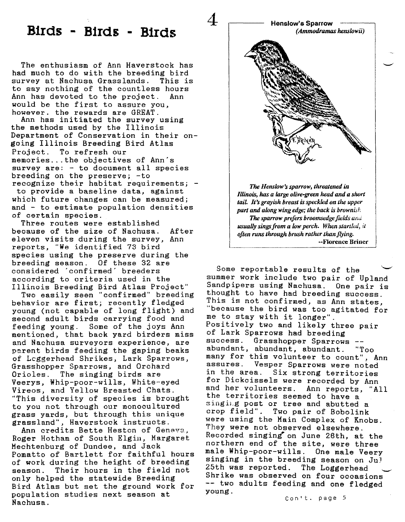## **B1rds - Birds - Birds**

The enthusiasm of Ann Haverstock has had much to do with the breeding bird<br>survey at Nachusa Grasslands. This is survey at Nachusa Grasslands. to say nothing of the countless hours Ann has devoted to the project. Ann would be the first to assure you, however. the rewards are GREAT.

Ann has initiated the survey using the methods used by the Illinois Department of Conservation in their ongoing Illinois Breeding Bird Atlas Project. To refresh our memories ...the objectives of Ann's survey are: - to document all species breeding on the preserve; -to recognize their habitat requirements; -

to provide a baseline data, against which future changes can be measured; and - to estimate population densities of certain species.

Three routes were established because of the size of Nachusa. After eleven visits during the survey, Ann reports, "We identified 73 bird species using the preserve during the breeding season. Of these 32 are considered 'confirmed' breeders according to criteria used in the Illinois Breeding Bird Atlas Project"

Two easily seen "confirmed" breeding behavior are first; recently fledged young (not capable of long flight) and second adult birds carrying food and feeding young. Some of the joys Ann mentioned, that back yard birders miss and Nachusa surveyors experience, are parent birds feeding the gaping beaks of Lcggerhead Shrikes, Lark Sparrows, Grasshopper Sparrows, and Orchard Orioles. The singing birds are Veerys, Whip-poor-wills, White-eyed Vireos, and Yellow Breasted Chats. "This diversity of species is brought to you not through our monocultured grass yards, but through this unique grassland", Haverstock instructs.

Ann credits Bette Hesten of Geneva, Roger Hotham of South Elgin, Margaret Mechtenburg of Dundee, and Jack Pomatto of Bartlett for faithful hours of work during the height of breeding season. Their hours in the field not only helped the statewide Breeding Bird Atlas but set the ground work for population studies next season at Nachusa.



Some reportable results of the summer work include two pair of Upland Sandpipers using Nachusa. One pair is thought to have had breeding success. This is not confirmed, as Ann states, "because the bird was too agitated for me to stay with it longer". Positively two and likely three pair of Lark Sparrows had breeding success. Grasshopper Sparrows -abundant, abundant, abundant. "Too many for this volunteer to count", Ann<br>assures, Vesper Sparrows were noted Vesper Sparrows were noted in the area. Six strong territories for Dickcissels were recorded by Ann<br>and her volunteers. Ann reports, "A Ann reports, "All the territories seemed to have a' singing post or tree and abutted a crop field". Two pair of Bobolink were using the Main Complex of Knobs mere amang one nain complex of mnops. Recorded singing· on June 26th, at the northern end of the site, were three male Whip-poor-wills. One male Veery singing in the breeding season on Jul 25th was reported. The Loggerhead Shrike was observed on four occasions~ -- two adults feeding and one fledged young.

Can't. page 5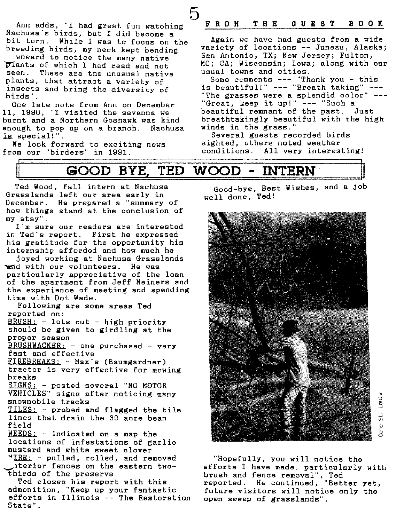5

Ann adds, "I had great fun watching Nachusa's birds, but I did become a<br>bit torn. While I was to focus on While I was to focus on the breeding birds, my neck kept bending

wnward to notice the many native  $\overline{p}$  ants of which I had read and not seen. These are the unusual native These are the unusual native plants, that attract a variety of insects and bring the diversity of birds" .

One late note from Ann on December 11, 1990, "I visited the savanna we burnt and a Northern Goshawk was kind enough to pop up on a branch. Nachusa is special!".

We look forward to exciting news from our "birders" in 1991.

### FRO M T H B G U B S T **BOOK**

Again we have had guests from a wide variety of locations -- Juneau, Alaska; San Antonio, TX; New Jersey; Fulton, MO; CA; Wisconsin; Iowa; along with our usual towns and cities.

Some comments --- "Thank you - this is beautiful!" --- "Breath taking" --- "The grasses were a splendid color" --- "Great, keep it up!" --- "Such a beautiful remnant of the past. Just breathtakingly beautiful with the high winds in the grass."

Several guests recorded birds sighted, others noted weather<br>conditions. All very interes All very interesting!

## II **GOOD BYE** II **<sup>1</sup> TED WOOD - INTERN**

Ted Wood, fall intern at Nachusa Grasslands left our area early in December. He prepared a "summary of how things stand at the conclusion of my stay".

I'm sure our readers are interested in Ted's report. First he expressed his gratitude for the opportunity his internship afforded and how much he

joyed working at Nachusa Grasslands ~d with our volunteers. He was particularly appreciative of the loan of the apartment from Jeff Meiners and the experience of meeting and spending time with Dot Wade.

Following are some areas Ted reported on: BRUSH: - lots cut - high priority

should be given to girdling at the proper season

BRUSHWACKER: - one purchased - very fast and effective

FIREBREAKS: - Max's (Baumgardner) tractor is very effective for mowing breaks

SIGNS: - posted several "NO MOTOR VEHICLES" signs after noticing many snowmobile tracks

TILES: - probed and flagged the tile lines that drain the 30 acre bean field

WEEDS: - indicated on a map the locations of infestations of garlic mustard and white sweet clover

"IRE: - pulled, rolled, and removed ~lterior fences on the eastern twothirds of the preserve

Ted closes his report with this admonition, "Keep up your fantastic efforts in Illinois -- The Restoration State".

Good-bye, Best Wishes, and a job well done, Ted!



if) .,., ::J o...J ب<br>ن ca<br>Ca

"Hopefully, you will notice the efforts I have made, particularly with brush and fence removal", Ted reported. He continued, "Better yet, future visitors will notice only the open sweep of grasslands".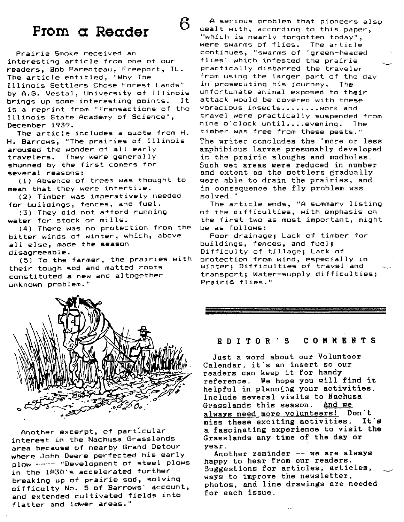# **Prom a Reader**

6

Prairie Smoke received an interesting article from one of our readers, Bob Parenteau, Freeport, IL. The article entitled, "Why The Illinois Settlers Chose Forest Lands" by A.G. Vestal, University of Illinois brings up some interesting points. It is a reprint from "Transactions of the Illinois State Academy of Science", December 1939.

The article includes a quote from H. H. Barrows, "The prairies of Illinois aroused the wonder of all early travelers. They were generally shunned by the first comers for several reasons:

(1) Absence of trees was thought to mean that they were infertile.

(2) Timber was imperatively needed for buildings, fences, and fuel.

(3) They did not afford running water for stock or mills.

(4) There was no protection from the bitter winds of winter, which, above all else, made the season disagreeable.

(5) To the farmer, the prairies with their tough sod and matted roots constituted a new and altogether unknown problem."



Another excerpt, of particular interest in the Nachusa Grasslands area because of nearby Grand Detour where John Deere perfected his early plow ---- "Development of steel plows in the 1830's accelerated further breaking up of prairie sod, solving difficulty No. 5 of Barrows' account, and extended cultivated fields into flatter and lower areas."

A serious problem that pioneers also oealt with, according to this paper, "which is nearly forgotten today", were swarms of flies. The article continues, "swarms of 'green-headed flies' which infested the prairie practically disbarred the traveler from using the larger part of the day in prosecuting his journey. The unfortunate animal exposed to their attack would be covered with these voracious insects........work and travel were practically suspended from nine o'clock until....evening. The timber was free from these pests." The writer concludes the "more or less amphibious larvae presumably developed in the prairie sloughs and mudholes. Such wet areas were reduced in number and extent as the settlers gradually were able to drain the prairies, and in consequence the fly problem was solved."

The article ends, "A summary listing of the difficulties, with emphasis on the first two as most important, might be as follows:

Poor drainage; Lack of timber for buildings, fences, and fuel; Difficulty of tillage; Lack of protection from wind, especially in winter: Difficulties of travel and  $~$ transport; Water-supply difficulties; Prairie flies."

#### RD I TOR 'S COMMENTS

Just a word about our Volunteer Calendar, it's an insert so our readers can keep it for handy reference. We hope you will find it helpful in planning your activities. Include several visits to Nachusa Grasslands this season. And we always need more volunteers! Don't miss these exciting activities. It's a fascinating experience to visit the Grasslands any time of the day or year.

Another reminder -- we are always happy to hear from our readers. Suggestions for articles, articles, ways to improve the newsletter, photos, and line drawings are needed for each issue.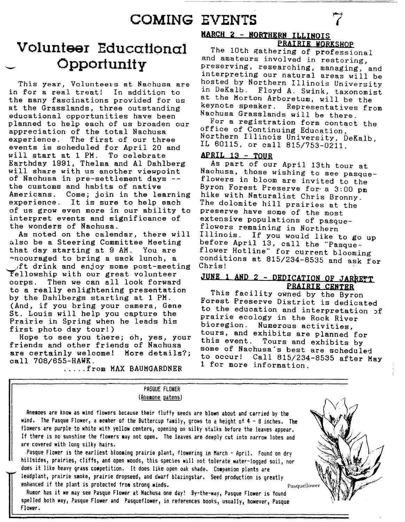# **COMING EVENTS**

## -- **Volunteer Educational Opportunity**

This year, Volunteers at Nachusa are in for a real treat! In addition to the many fascinations provided for us at the Grasslands, three outstanding educational opportunities have been planned to help each of us broaden our appreciation of the total Nachusa<br>experience. The first of our three The first of our three events is scheduled for April 20 and will start at 1 PM. To celebrate Earthday 1991, Thelma and Al Dahlberg will share with us another viewpoint of Nachusa in pre-settlement days - the customs and habits of native Americans. Come; join in the learning experience. It is sure to help each of us grow even more in our ability to interpret events and significance of the wonders of Nachusa.

As noted on the calendar, there will also be a Steering Committee Meeting that day starting at 9 AM. You are ~ucouraged to bring a sack lunch, a )ft drink and enjoy some post-meeting Fellowship with our great volunteer corps. Then we can all look forward to a really enlightening presentation by the Dahlbergs starting at 1 PM. (And, if you bring your camera, Gene St. Louis will help you capture the Prairie in Spring when he leads his first photo day tour!)

Hope to see you there; oh, yes, your friends and other friends of Nachusa are certainly welcome! More details?; call 708/6SS-HAWK.

.... .from MAX BAUMGARDNER

### **KARCH 2 - NORTHERN ILLINOIS PRAIRIE WORKSHOP**

The 10th gathering of professional and amateurs involved in restoring, preserving, researching, managing, and interpreting our natural areas will be hosted by Northern Illinois University in DeKalb. Floyd A. Swink, taxonomist at the Morton Arboretum, will be the<br>keynote speaker. Representatives fr Representatives from Nachusa Grasslands will be there.

For a registration form contact the office of Continuing Education, Northern Illinois University, DeKalb, IL 60115, or call 815/753-0211.

### **APRIL** 13 - **TOUR**

As part of our April 13th tour at Nachusa, those wishing to see pasqueflowers in bloom are invited to the Byron Forest Preserve for- a 3:00 pm hike with Naturalist Chris Bronny. The dolomite hill prairies at the preserve have some of the most extensive populations of pasqueflowers remaining in Northern Illinois. If you would like to go up before April 13, call the "Pasqueflower Hotline" for current blooming conditions at  $815/234-8535$  and ask for Chris!

### **JUNE 1 AND 2 - DEDICATION OF JARRETT PRAIRIE CENTER**

This facility owned by the Byron Forest Preserve District is dedicated to the education and interpretation of prairie ecology in the Rock River<br>bioregion. Numerous activities Numerous activities, tours, and exhibits are planned for<br>this event. Tours and exhibits by Tours and exhibits by some of Nachusa's best are scheduled to occur! Call 815/234-8535 after May 1 for more information .

Anemoes are know as wind flowers because their fluffy seeds are blown about and carried by the wind. The Pasque Flower, a member of the Buttercup family, grows to a height of 4 - 8 inches. The flowers are purple to white with yellow centers, opening on silky stalks before the leaves appear. If there is no sunshine the flowers may not open. The leaves are deeply cut into narrow lobes and are covered with long silky hairs.

PASQUE FLOWER (Anemone patens)

Pasque Flower is the earliest blooming prairie plant, flowering in March - April. Found on dry hillsides, prairies, cliffs, and open woods, this species will not tolerate water-logged soil, nor does it like heavy grass competition. It does like open oak shade. Companion plants are leadplant, prairie smoke, prairie dropseed, and dwarf blazingstar. Seed production is greatly enhanced if the plant is protected from strong winds. Pasque is a strong example of  $\mathbf{p}_{\mathrm{asquelower}}$ 

Rumor has it we may see Pasque Flower at Nachusa one day! By-the-way, Pasque Flower is found  $s$ pelled both way, Pasque Flower and Pasqueflower, in references books, usually, however, Pasque Flower.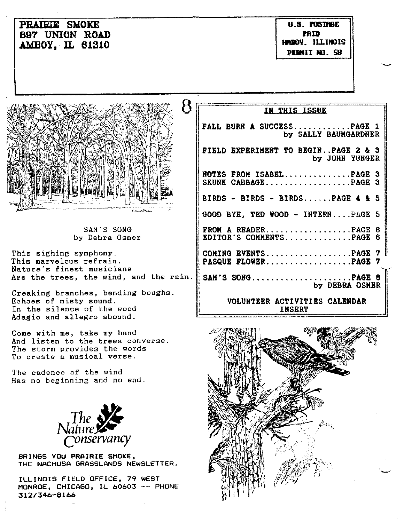| <b>PRAIRIE SMOKE</b><br><b>B97 UNION ROAD</b><br><b>AMBOY, IL 61310</b>                                                                                                                                                                                   | U.S. POSTROE<br>PAID<br>FINDOY, ILLINOIS<br>PERMIT NO. 58                                                                                                                                                                                             |
|-----------------------------------------------------------------------------------------------------------------------------------------------------------------------------------------------------------------------------------------------------------|-------------------------------------------------------------------------------------------------------------------------------------------------------------------------------------------------------------------------------------------------------|
| 8<br>E marthers.                                                                                                                                                                                                                                          | IN THIS ISSUE<br>FALL BURN A SUCCESSPAGE 1<br>by SALLY BAUMGARDNER<br>FIELD EXPERIMENT TO BEGINPAGE 2 & 3<br>by JOHN YUNGER<br>NOTES FROM ISABELPAGE 3<br>SKUNK CABBAGEPAGE 3<br>BIRDS - BIRDS - BIRDSPAGE 4 & 5<br>GOOD BYE, TED WOOD - INTERNPAGE 5 |
| SAM'S SONG<br>by Debra Osmer<br>This sighing symphony.<br>This marvelous refrain.<br>Nature's finest musicians<br>Are the trees, the wind, and the rain.   <br>Creaking branches, bending boughs.<br>Echoes of misty sound.<br>In the silence of the wood | FROM A READERPAGE 6<br>EDITOR'S COMMENTSPAGE 6<br>COMING EVENTSPAGE 7<br>PASQUE FLOWERPAGE 7<br>SAM'S SONGPAGE 8<br>by DEBRA OSMER<br>VOLUNTEER ACTIVITIES CALENDAR<br><b>INSERT</b>                                                                  |
| Adagio and allegro abound.<br>Come with me, take my hand<br>And listen to the trees converse.<br>The storm provides the words<br>To create a musical verse.<br>The cadence of the wind<br>Has no beginning and no end.<br>$N$ ature $\mathcal{L}$         |                                                                                                                                                                                                                                                       |

BRINGS YOU PRAIRIE SMOKE, THE NACHUSA GRASSLANDS NEWSLETTER.

*conservancy*

ILLINOIS FIELD 'OFFICE, 79 WEST MONROE, CHICAGO, IL 60603 -- PHONE *312/346-8166*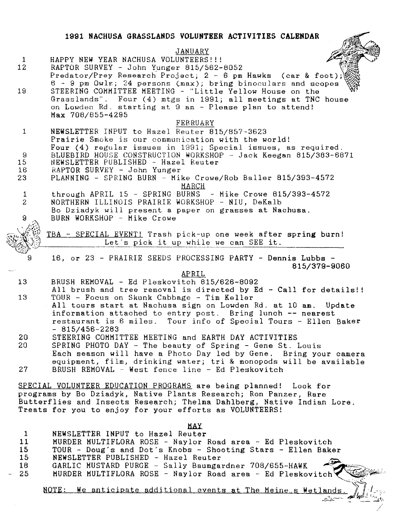### **1991 NACHUSA GRASSLANDS VOLUNTEER ACTIVITIES CALENDAR** JANUARY 1 HAPPY NEW YEAR NACHUSA VOLUNTEERS!!!<br>12 RAPTOR SURVEY - John Yunger 815/562-12 RAPTOR SURVEY - John Yunger 815/562-8052 Predator/Prey Research Project;  $2 - 6$  pm Hawks (car & foot); 6 - 9 pm Owls; 24 persons (max); bring binoculars and scopes 19 STEERING COMMITTEE MEETING - "Little Yellow House on the Grasslands". Four (4) mtgs in 1991; all meetings at TNC house on Lowden Rd. starting at 9 am - Please plan to attend! Max 708/655-4295 FEBRUARY 1 NEWSLETTER INPUT to Hazel Reuter 815/857-3623 Prairie Smoke is our communication with the world! Four (4) regular issues in 1991; Special issues, as required. 9 BLUEBIRD HOUSE CONSTRUCTION WORKSHOP - Jack Keegan 815/383-6871<br>15 MEWSLETTER PUBLISHED - Hazel Reuter 15 NEWSLETTER PUBLISHED - Hazel Reuter<br>16 RAPTOR SURVEY - John Yunger 16 RAPTOR SURVEY - John Yunger<br>23 DLANNING - SPRING BURN - Mi 23 PLANNING - SPRING BURN - Mike Crowe/Rob Baller 815/393-4572 MARCH 1 through APRIL 15 - SPRING BURNS - Mike Crowe 815/393-4572<br>2 NORTHERN ILLINOIS PRAIRIE WORKSHOP - NIU. DeKalb 2 NORTHERN ILLINOIS PRAIRIE WORKSHOP - NIU, DeKalb Bo Dziadyk will present a paper on grasses at Nachusa.  $\overline{9}$ BURN WORKSHOP - Mike Crowe TBA - SPECIAL EVENT! Trash pick-up one week after spring burn! Let's pick it up while we can SEE it. ---------------------------- 16, or 23 - PRAIRIE SEEDS PROCESSING PARTY - Dennis Lubbs -815/379-9060 APRIL 13 BRUSH REMOVAL - Ed Pleskovitch 815/626-8092 All brush and tree removal is directed by Ed - Call for details!! 13 TOUR - Focus on Skunk Cabbage - Tim Keller All tours start at Nachusa sign on Lowden Rd. at 10 am. Update information attached to entry post. Bring lunch -- nearest restaurant is 6 miles. Tour info of Special Tours - Ellen Baker  $-815/456-2283$ 20 STEERING COMMITTEE MEETING and EARTH DAY ACTIVITIES<br>20 SPRING PHOTO DAY - The beauty of Spring - Gene St. SPRING PHOTO DAY - The beauty of Spring - Gene St. Louis Each season will have a Photo Day led by Gene. Bring your camera equipment, film, drinking water; tri & monopods will be available 27 BRUSH REMOVAL - West fence line - Ed Pleskovitch SPECIAL VOLUNTEER EDUCATION PROGRAMS are being planned! Look for programs by Bo Dziadyk, Native Plants Research; Ron Panzer, Rare Butterflies and Insects Research; Thelma Dahlberg, Native Indian Lore. Treats for you to enjoy for your efforts as VOLUNTEERS! MAY 1 NEWSLETTER INPUT to Hazel Reuter 11 MURDER MULTIFLORA ROSE - Naylor Road area - Ed Pleskovitch 15 TOUR - Doug's and Dot's Knobs - Shooting Stars - Ellen Baker 15 NEWSLETTER PUBLISHED - Hazel Reuter 18 GARLIC MUSTARD PURGE - Sally Baumgardner 708/655-HAWK - 25 MURDER MULTIFLORA ROSE - Naylor Road area - Ed Pleskovitch<sup>'</sup>

NOTE: We anticipate additional events at The Meine s Wetlands.

*~~--- JtJ\_-* .-l",I.

 $\frac{1}{2}$